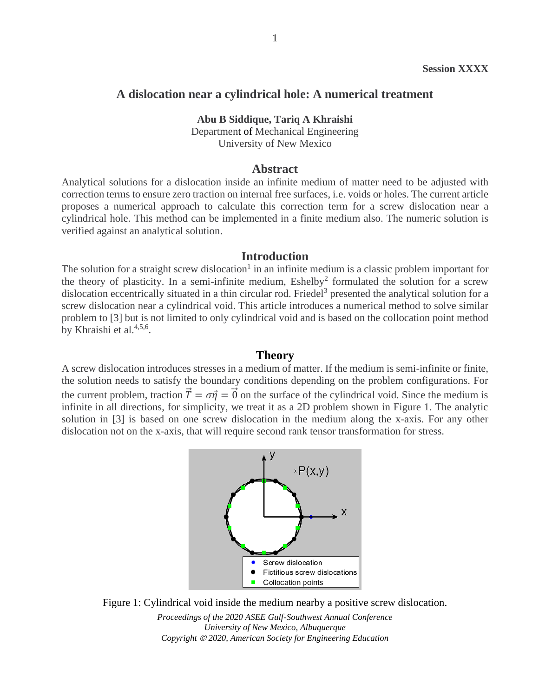## **A dislocation near a cylindrical hole: A numerical treatment**

#### **Abu B Siddique, Tariq A Khraishi**

Department of Mechanical Engineering University of New Mexico

## **Abstract**

Analytical solutions for a dislocation inside an infinite medium of matter need to be adjusted with correction terms to ensure zero traction on internal free surfaces, i.e. voids or holes. The current article proposes a numerical approach to calculate this correction term for a screw dislocation near a cylindrical hole. This method can be implemented in a finite medium also. The numeric solution is verified against an analytical solution.

### **Introduction**

The solution for a straight screw dislocation<sup>1</sup> in an infinite medium is a classic problem important for the theory of plasticity. In a semi-infinite medium,  $Eshelby<sup>2</sup>$  formulated the solution for a screw dislocation eccentrically situated in a thin circular rod. Friedel<sup>3</sup> presented the analytical solution for a screw dislocation near a cylindrical void. This article introduces a numerical method to solve similar problem to [3] but is not limited to only cylindrical void and is based on the collocation point method by Khraishi et al.<sup>4,5,6</sup>.

#### **Theory**

A screw dislocation introduces stresses in a medium of matter. If the medium is semi-infinite or finite, the solution needs to satisfy the boundary conditions depending on the problem configurations. For the current problem, traction  $\vec{T} = \sigma \vec{n} = \vec{0}$  on the surface of the cylindrical void. Since the medium is infinite in all directions, for simplicity, we treat it as a 2D problem shown in Figure 1. The analytic solution in [3] is based on one screw dislocation in the medium along the x-axis. For any other dislocation not on the x-axis, that will require second rank tensor transformation for stress.





*Proceedings of the 2020 ASEE Gulf-Southwest Annual Conference University of New Mexico, Albuquerque Copyright* © *2020, American Society for Engineering Education*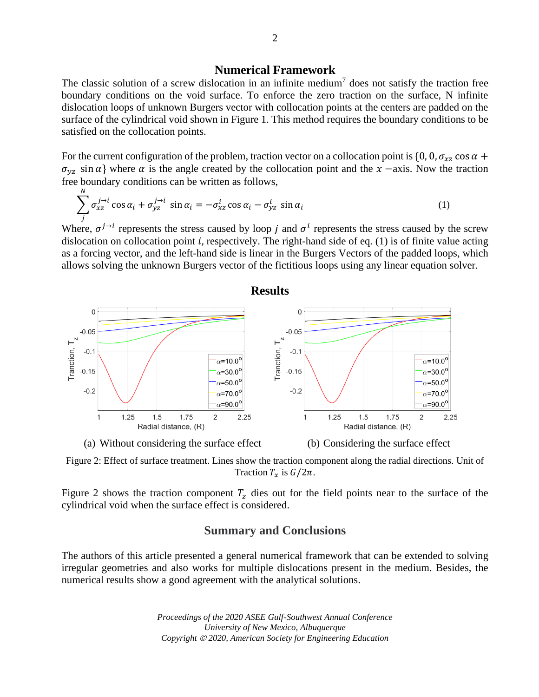## **Numerical Framework**

The classic solution of a screw dislocation in an infinite medium<sup>7</sup> does not satisfy the traction free boundary conditions on the void surface. To enforce the zero traction on the surface, N infinite dislocation loops of unknown Burgers vector with collocation points at the centers are padded on the surface of the cylindrical void shown in Figure 1. This method requires the boundary conditions to be satisfied on the collocation points.

For the current configuration of the problem, traction vector on a collocation point is  $\{0, 0, \sigma_{xz} \cos \alpha +$  $\sigma_{yz}$  sin  $\alpha$ } where  $\alpha$  is the angle created by the collocation point and the  $x$  –axis. Now the traction free boundary conditions can be written as follows,

$$
\sum_{j}^{N} \sigma_{xz}^{j \to i} \cos \alpha_i + \sigma_{yz}^{j \to i} \sin \alpha_i = -\sigma_{xz}^i \cos \alpha_i - \sigma_{yz}^i \sin \alpha_i
$$
 (1)

Where,  $\sigma^{j \to i}$  represents the stress caused by loop *j* and  $\sigma^i$  represents the stress caused by the screw dislocation on collocation point  $i$ , respectively. The right-hand side of eq. (1) is of finite value acting as a forcing vector, and the left-hand side is linear in the Burgers Vectors of the padded loops, which allows solving the unknown Burgers vector of the fictitious loops using any linear equation solver.



### **Results**

<span id="page-1-0"></span>Figure 2: Effect of surface treatment. Lines show the traction component along the radial directions. Unit of Traction  $T_x$  is  $G/2\pi$ .

[Figure 2](#page-1-0) shows the traction component  $T<sub>z</sub>$  dies out for the field points near to the surface of the cylindrical void when the surface effect is considered.

# **Summary and Conclusions**

The authors of this article presented a general numerical framework that can be extended to solving irregular geometries and also works for multiple dislocations present in the medium. Besides, the numerical results show a good agreement with the analytical solutions.

> *Proceedings of the 2020 ASEE Gulf-Southwest Annual Conference University of New Mexico, Albuquerque Copyright* © *2020, American Society for Engineering Education*